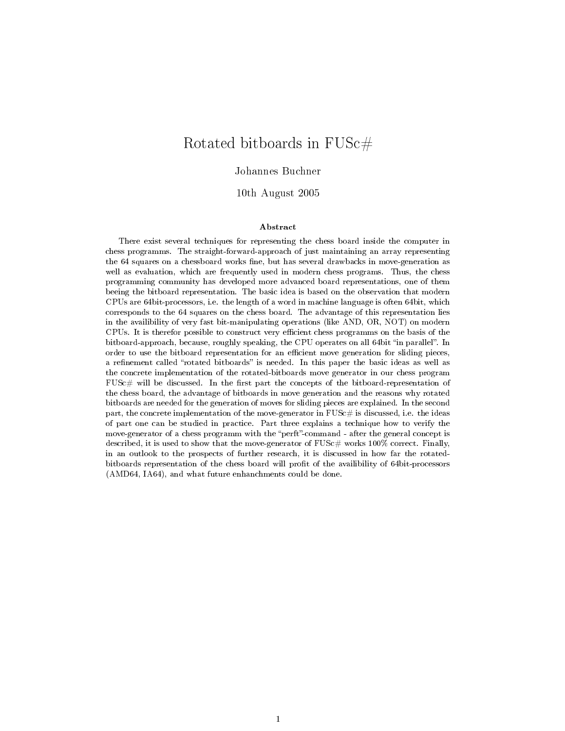# Rotated bitboards in FUSc#

#### Johannes Buchner

10th August 2005

#### Abstract

There exist several techniques for representing the chess board inside the computer in chess programms. The straight-forward-approach of just maintaining an array representing the 64 squares on a chessboard works fine, but has several drawbacks in move-generation as well as evaluation, which are frequently used in modern chess programs. Thus, the chess programming community has developed more advanced board representations, one of them beeing the bitboard representation. The basic idea is based on the observation that modern CPUs are 64bit-processors, i.e. the length of a word in machine language is often 64bit, which corresponds to the 64 squares on the chess board. The advantage of this representation lies in the availibility of very fast bit-manipulating operations (like AND, OR, NOT) on modern CPUs. It is therefor possible to construct very ecient chess programms on the basis of the bitboard-approach, because, roughly speaking, the CPU operates on all 64bit "in parallel". In order to use the bitboard representation for an efficient move generation for sliding pieces, a refinement called "rotated bitboards" is needed. In this paper the basic ideas as well as the concrete implementation of the rotated-bitboards move generator in our chess program  $FUSE#$  will be discussed. In the first part the concepts of the bitboard-representation of the chess board, the advantage of bitboards in move generation and the reasons why rotated bitboards are needed for the generation of moves for sliding pieces are explained. In the second part, the concrete implementation of the move-generator in  $\text{FUSc}\#$  is discussed, i.e. the ideas of part one can be studied in practice. Part three explains a technique how to verify the move-generator of a chess programm with the "perft"-command - after the general concept is described, it is used to show that the move-generator of  $\text{FUSc}\#$  works 100% correct. Finally, in an outlook to the prospects of further research, it is discussed in how far the rotatedbitboards representation of the chess board will profit of the availibility of 64bit-processors (AMD64, IA64), and what future enhanchments could be done.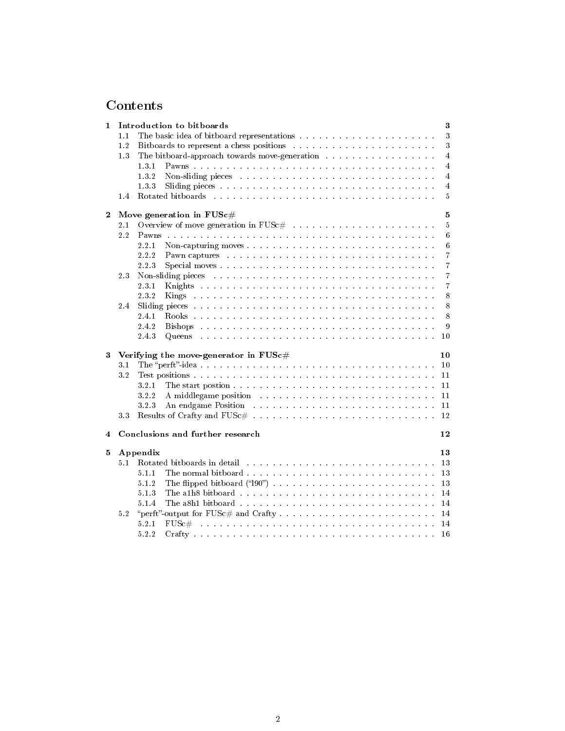# Contents

| 1        |     |          | Introduction to bitboards                                                                                                                                                                                                     |  | 3               |
|----------|-----|----------|-------------------------------------------------------------------------------------------------------------------------------------------------------------------------------------------------------------------------------|--|-----------------|
|          | 1.1 |          |                                                                                                                                                                                                                               |  | $\sqrt{3}$      |
|          | 1.2 |          |                                                                                                                                                                                                                               |  | 3               |
|          | 1.3 |          | The bitboard-approach towards move generation                                                                                                                                                                                 |  | $\overline{4}$  |
|          |     | 1.3.1    |                                                                                                                                                                                                                               |  | $\overline{4}$  |
|          |     | 132      |                                                                                                                                                                                                                               |  | $\overline{4}$  |
|          |     | 133      |                                                                                                                                                                                                                               |  | $\overline{4}$  |
|          | 1.4 |          |                                                                                                                                                                                                                               |  | 5               |
| $\bf{2}$ |     |          | Move generation in $FUSc\#$                                                                                                                                                                                                   |  | $\overline{5}$  |
|          | 2.1 |          |                                                                                                                                                                                                                               |  | $\overline{5}$  |
|          | 2.2 |          |                                                                                                                                                                                                                               |  | 6               |
|          |     | 2.2.1    |                                                                                                                                                                                                                               |  | $6\phantom{.}6$ |
|          |     | 2.2.2    | Pawn captures response to the contract of the contract of the contract of the contract of the contract of the contract of the contract of the contract of the contract of the contract of the contract of the contract of the |  | $\overline{7}$  |
|          |     | 2.2.3    |                                                                                                                                                                                                                               |  | $\overline{7}$  |
|          | 2.3 |          |                                                                                                                                                                                                                               |  | $\overline{7}$  |
|          |     | 2.3.1    |                                                                                                                                                                                                                               |  | $\overline{7}$  |
|          |     | 2.3.2    |                                                                                                                                                                                                                               |  | 8               |
|          |     |          |                                                                                                                                                                                                                               |  | $\,8\,$         |
|          | 2.4 | 2.4.1    |                                                                                                                                                                                                                               |  | 8               |
|          |     | 2.4.2    |                                                                                                                                                                                                                               |  | 9               |
|          |     |          |                                                                                                                                                                                                                               |  |                 |
|          |     |          |                                                                                                                                                                                                                               |  |                 |
|          |     | 2.4.3    | Queens                                                                                                                                                                                                                        |  | 10              |
| 3        |     |          | Verifying the move-generator in $FUSc\#$                                                                                                                                                                                      |  | 10              |
|          | 3.1 |          |                                                                                                                                                                                                                               |  | 10              |
|          | 3.2 |          |                                                                                                                                                                                                                               |  | 11              |
|          |     | 3.2.1    |                                                                                                                                                                                                                               |  | 11              |
|          |     | 322      |                                                                                                                                                                                                                               |  | 11              |
|          |     | 3.2.3    | An endgame Position resources in the contract of the contract of the contract of the contract of the contract of the contract of the contract of the contract of the contract of the contract of the contract of the contract |  | 11              |
|          | 3.3 |          |                                                                                                                                                                                                                               |  | 12              |
|          |     |          |                                                                                                                                                                                                                               |  |                 |
| 4        |     |          | Conclusions and further research                                                                                                                                                                                              |  | 12              |
| 5        |     | Appendix |                                                                                                                                                                                                                               |  | 13              |
|          | 5.1 |          |                                                                                                                                                                                                                               |  | 13              |
|          |     | 5.1.1    | The normal bitboard                                                                                                                                                                                                           |  | 13              |
|          |     | 5.1.2    |                                                                                                                                                                                                                               |  | 13              |
|          |     | 5.1.3    |                                                                                                                                                                                                                               |  | 14              |
|          |     | 5.1.4    |                                                                                                                                                                                                                               |  | 14              |
|          | 5.2 |          | "perft"-output for FUSc# and Crafty                                                                                                                                                                                           |  | 14              |
|          |     | 5.2.1    | .<br>The contract of the contract of the contract of the contract of the contract of the contract of the contract of<br>$FUSc\#$                                                                                              |  | 14              |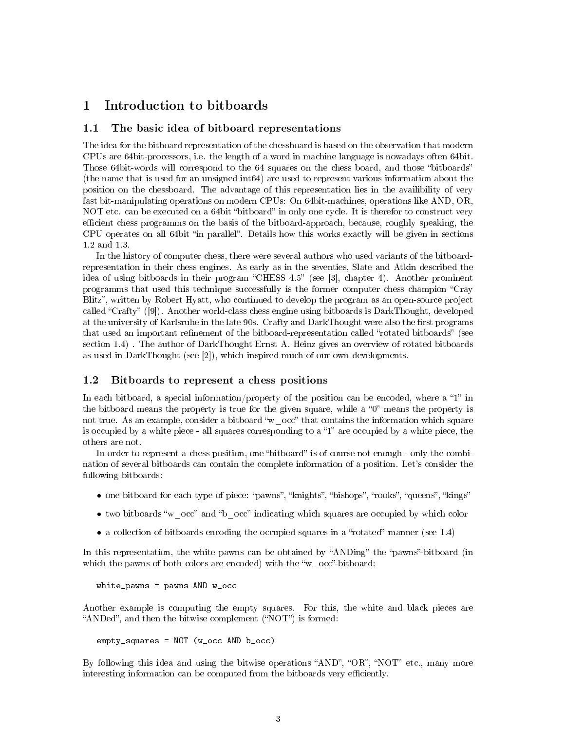## 1 Introduction to bitboards

#### 1.1 The basic idea of bitboard representations

The idea for the bitboard representation of the chessboard is based on the observation that modern CPUs are 64bit-processors, i.e. the length of a word in machine language is nowadays often 64bit. Those 64bit-words will correspond to the 64 squares on the chess board, and those "bitboards" (the name that is used for an unsigned int64) are used to represent various information about the position on the chessboard. The advantage of this representation lies in the availibility of very fast bit-manipulating operations on modern CPUs: On 64bit-machines, operations like AND, OR, NOT etc. can be executed on a 64bit "bitboard" in only one cycle. It is therefor to construct very efficient chess programms on the basis of the bitboard-approach, because, roughly speaking, the CPU operates on all 64bit "in parallel". Details how this works exactly will be given in sections 1.2 and 1.3.

In the history of computer chess, there were several authors who used variants of the bitboardrepresentation in their chess engines. As early as in the seventies, Slate and Atkin described the idea of using bitboards in their program "CHESS 4.5" (see [3], chapter 4). Another prominent programms that used this technique successfully is the former computer chess champion "Cray Blitz", written by Robert Hyatt, who continued to develop the program as an open-source project called "Crafty"  $([9])$ . Another world-class chess engine using bitboards is DarkThought, developed at the university of Karlsruhe in the late 90s. Crafty and DarkThought were also the first programs that used an important refinement of the bitboard-representation called "rotated bitboards" (see section 1.4) . The author of DarkThought Ernst A. Heinz gives an overview of rotated bitboards as used in DarkThought (see [2]), which inspired much of our own developments.

#### 1.2 Bitboards to represent a chess positions

In each bitboard, a special information/property of the position can be encoded, where a "1" in the bitboard means the property is true for the given square, while a  $0$  means the property is not true. As an example, consider a bitboard "w\_occ" that contains the information which square is occupied by a white piece - all squares corresponding to a  $1$ " are occupied by a white piece, the others are not.

In order to represent a chess position, one "bitboard" is of course not enough - only the combination of several bitboards can contain the complete information of a position. Let's consider the following bitboards:

- one bitboard for each type of piece: "pawns", "knights", "bishops", "rooks", "queens", "kings"
- two bitboards "w\_occ" and "b\_occ" indicating which squares are occupied by which color
- a collection of bitboards encoding the occupied squares in a "rotated" manner (see  $1.4$ )

In this representation, the white pawns can be obtained by "ANDing" the "pawns"-bitboard (in which the pawns of both colors are encoded) with the "w\_occ"-bitboard:

```
white_pawns = pawns AND w_occ
```
Another example is computing the empty squares. For this, the white and black pieces are "ANDed", and then the bitwise complement ("NOT") is formed:

empty\_squares = NOT (w\_occ AND b\_occ)

By following this idea and using the bitwise operations "AND", " $OR$ ", "NOT" etc., many more interesting information can be computed from the bitboards very efficiently.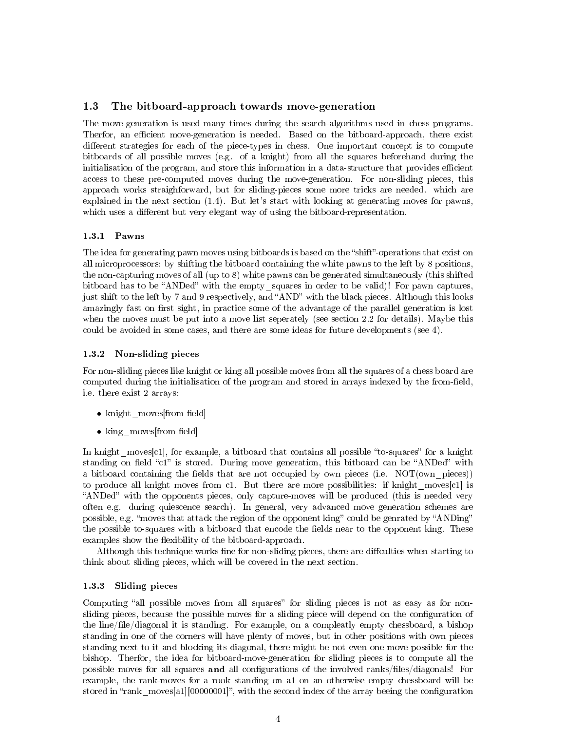#### 1.3 The bitboard-approach towards move-generation

The move-generation is used many times during the search-algorithms used in chess programs. Therfor, an efficient move-generation is needed. Based on the bitboard-approach, there exist different strategies for each of the piece-types in chess. One important concept is to compute bitboards of all possible moves (e.g. of a knight) from all the squares beforehand during the initialisation of the program, and store this information in a data-structure that provides efficient access to these pre-computed moves during the move-generation. For non-sliding pieces, this approach works straighforward, but for sliding-pieces some more tricks are needed. which are explained in the next section (1.4). But let's start with looking at generating moves for pawns, which uses a different but very elegant way of using the bitboard-representation.

#### 1.3.1 Pawns

The idea for generating pawn moves using bitboards is based on the "shift"-operations that exist on all microprocessors: by shifting the bitboard containing the white pawns to the left by 8 positions, the non-capturing moves of all (up to 8) white pawns can be generated simultaneously (this shifted bitboard has to be "ANDed" with the empty squares in order to be valid)! For pawn captures, just shift to the left by 7 and 9 respectively, and "AND" with the black pieces. Although this looks amazingly fast on first sight, in practice some of the advantage of the parallel generation is lost when the moves must be put into a move list seperately (see section 2.2 for details). Maybe this could be avoided in some cases, and there are some ideas for future developments (see 4).

#### 1.3.2 Non-sliding pieces

For non-sliding pieces like knight or king all possible moves from all the squares of a chess board are computed during the initialisation of the program and stored in arrays indexed by the from-field, i.e. there exist 2 arrays:

- knight moves [from-field]
- $\bullet$  king moves[from-field]

In knight moves [c1], for example, a bitboard that contains all possible "to-squares" for a knight standing on field "c1" is stored. During move generation, this bitboard can be "ANDed" with a bitboard containing the fields that are not occupied by own pieces (i.e.  $NOT(own\text{ pieces})$ ) to produce all knight moves from c1. But there are more possibilities: if knight\_moves[c1] is "ANDed" with the opponents pieces, only capture-moves will be produced (this is needed very often e.g. during quiescence search). In general, very advanced move generation schemes are possible, e.g. "moves that attack the region of the opponent king" could be genrated by "ANDing" the possible to-squares with a bitboard that encode the fields near to the opponent king. These examples show the flexibility of the bitboard-approach.

Although this technique works fine for non-sliding pieces, there are diffculties when starting to think about sliding pieces, which will be covered in the next section.

#### 1.3.3 Sliding pieces

Computing "all possible moves from all squares" for sliding pieces is not as easy as for nonsliding pieces, because the possible moves for a sliding piece will depend on the configuration of the line/file/diagonal it is standing. For example, on a compleatly empty chessboard, a bishop standing in one of the corners will have plenty of moves, but in other positions with own pieces standing next to it and blocking its diagonal, there might be not even one move possible for the bishop. Therfor, the idea for bitboard-move-generation for sliding pieces is to compute all the possible moves for all squares and all configurations of the involved ranks/files/diagonals! For example, the rank-moves for a rook standing on a1 on an otherwise empty chessboard will be stored in "rank moves[a1][00000001]", with the second index of the array beeing the configuration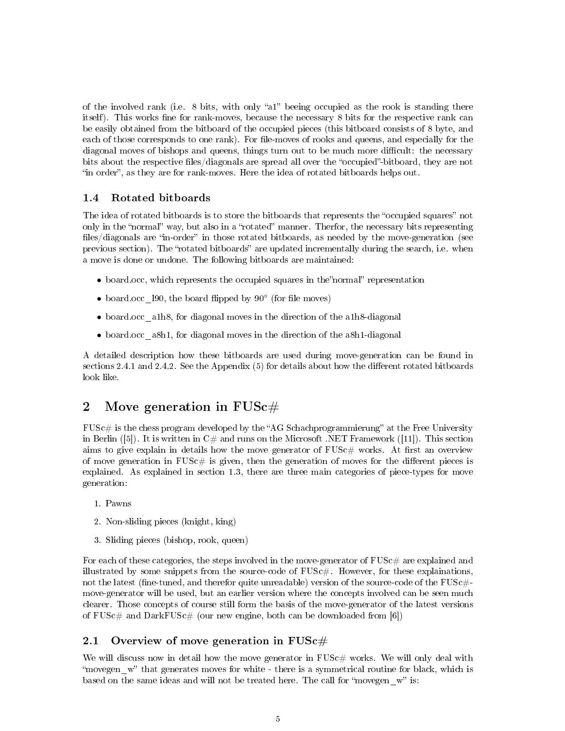of the involved rank (i.e.  $8$  bits, with only "a1" beeing occupied as the rook is standing there itself). This works fine for rank-moves, because the necessary 8 bits for the respective rank can be easily obtained from the bitboard of the occupied pieces (this bitboard consists of 8 byte, and each of those corresponds to one rank). For file-moves of rooks and queens, and especially for the diagonal moves of bishops and queens, things turn out to be much more difficult: the necessary bits about the respective files/diagonals are spread all over the "occupied"-bitboard, they are not "in order", as they are for rank-moves. Here the idea of rotated bitboards helps out.

#### 1.4 Rotated bitboards

The idea of rotated bitboards is to store the bitboards that represents the "occupied squares" not only in the "normal" way, but also in a "rotated" manner. Therfor, the necessary bits representing files/diagonals are "in-order" in those rotated bitboards, as needed by the move-generation (see previous section). The "rotated bitboards" are updated incrementally during the search, i.e. when a move is done or undone. The following bitboards are maintained:

- $\bullet$  board.occ, which represents the occupied squares in the normal representation
- board.occ 190, the board flipped by 90° (for file moves)
- board.occ\_a1h8, for diagonal moves in the direction of the a1h8-diagonal
- board.occ a8h1, for diagonal moves in the direction of the a8h1-diagonal

A detailed description how these bitboards are used during move-generation can be found in sections 2.4.1 and 2.4.2. See the Appendix  $(5)$  for details about how the different rotated bitboards look like.

# 2 Move generation in  $FUSc\#$

 $FUSE\#$  is the chess program developed by the "AG Schachprogrammierung" at the Free University in Berlin ([5]). It is written in  $C\#$  and runs on the Microsoft .NET Framework ([11]). This section aims to give explain in details how the move generator of  $FUSE#$  works. At first an overview of move generation in  $FUSc\#$  is given, then the generation of moves for the different pieces is explained. As explained in section 1.3, there are three main categories of piece-types for move generation:

- 1. Pawns
- 2. Non-sliding pieces (knight, king)
- 3. Sliding pieces (bishop, rook, queen)

For each of these categories, the steps involved in the move-generator of  $FUSc \#$  are explained and illustrated by some snippets from the source-code of  $FUSc#$ . However, for these explainations, not the latest (fine-tuned, and therefor quite unreadable) version of the source-code of the  $FUSc#$ move-generator will be used, but an earlier version where the concepts involved can be seen much clearer. Those concepts of course still form the basis of the move-generator of the latest versions of  $FUSc#$  and  $DarkFUSc#$  (our new engine, both can be downloaded from [6])

#### 2.1 Overview of move generation in  $\text{FUSc}\#$

We will discuss now in detail how the move generator in  $FUSE#$  works. We will only deal with "movegen w" that generates moves for white - there is a symmetrical routine for black, which is based on the same ideas and will not be treated here. The call for "movegen  $w$ " is: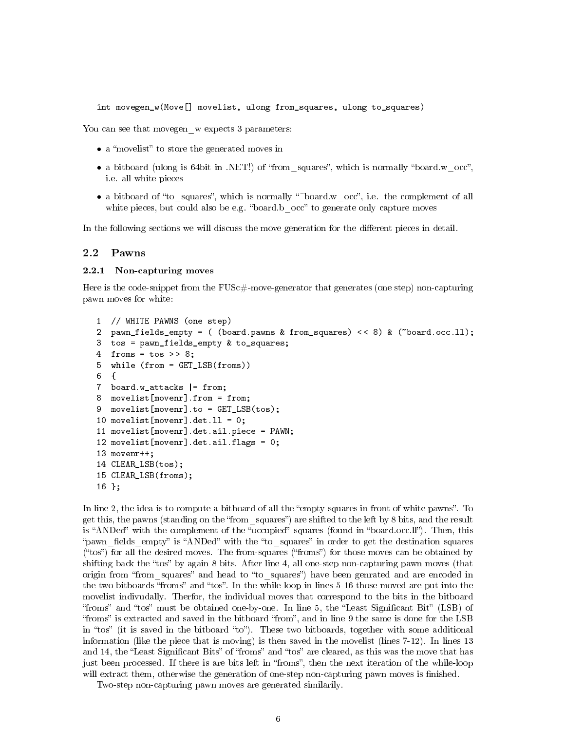int movegen\_w(Move[] movelist, ulong from\_squares, ulong to\_squares)

You can see that movegen w expects 3 parameters:

- a "movelist" to store the generated moves in
- a bitboard (ulong is 64bit in .NET!) of "from squares", which is normally "board.w occ", i.e. all white pieces
- a bitboard of "to\_squares", which is normally "~board.w\_occ", i.e. the complement of all white pieces, but could also be e.g. "board.b occ" to generate only capture moves

In the following sections we will discuss the move generation for the different pieces in detail.

#### 2.2 Pawns

#### 2.2.1 Non-capturing moves

Here is the code-snippet from the  $FUSc$ #-move-generator that generates (one step) non-capturing pawn moves for white:

```
1 // WHITE PAWNS (one step)
2 pawn_fields_empty = ( (board.pawns & from_squares) < < 8) & (~board.occ.ll);
3 tos = pawn_fields_empty & to_squares;
4 froms = \text{tos} >> 8;
5 while (from = GET_LSB(froms))
6 {
7 board.w_attacks |= from;
8 movelist[movenr].from = from;
9 movelist[movenr].to = GET LSB(tos);
10 movelist[movenr].det.ll = 0;
11 movelist[movenr].det.ail.piece = PAWN;
12 movelist[movenr].det.ail.flags = 0;
13 movenr++;
14 CLEAR_LSB(tos);
15 CLEAR_LSB(froms);
16 };
```
In line 2, the idea is to compute a bitboard of all the "empty squares in front of white pawns". To get this, the pawns (standing on the "from squares") are shifted to the left by 8 bits, and the result is "ANDed" with the complement of the "occupied" squares (found in "board.occ.ll"). Then, this "pawn fields empty" is "ANDed" with the "to squares" in order to get the destination squares  $("tos")$  for all the desired moves. The from-squares  $("forms")$  for those moves can be obtained by shifting back the "tos" by again 8 bits. After line 4, all one-step non-capturing pawn moves (that origin from "from squares" and head to "to squares") have been genrated and are encoded in the two bitboards "froms" and "tos". In the while-loop in lines 5-16 those moved are put into the movelist indivudally. Therfor, the individual moves that correspond to the bits in the bitboard "froms" and "tos" must be obtained one-by-one. In line 5, the "Least Significant Bit" (LSB) of "froms" is extracted and saved in the bitboard "from", and in line 9 the same is done for the LSB in "tos" (it is saved in the bitboard "to"). These two bitboards, together with some additional information (like the piece that is moving) is then saved in the movelist (lines 7-12). In lines 13 and 14, the "Least Significant Bits" of "froms" and "tos" are cleared, as this was the move that has just been processed. If there is are bits left in "froms", then the next iteration of the while-loop will extract them, otherwise the generation of one-step non-capturing pawn moves is finished.

Two-step non-capturing pawn moves are generated similarily.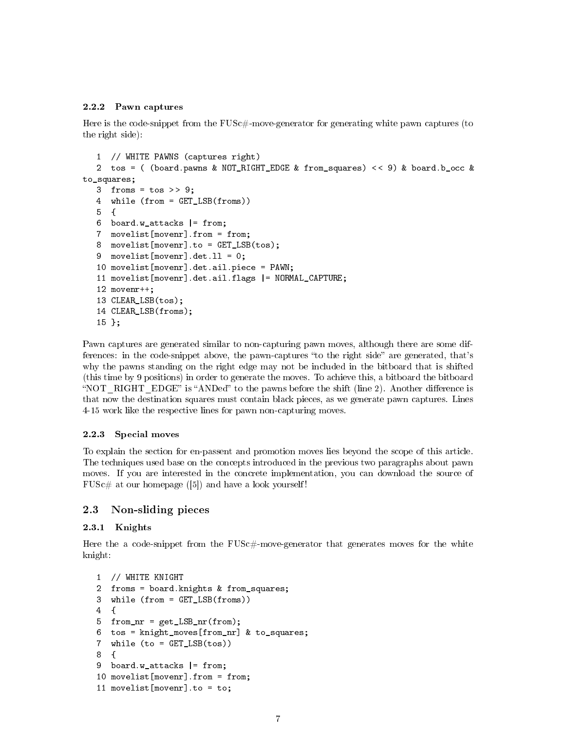#### 2.2.2 Pawn captures

Here is the code-snippet from the  $FUSc$ #-move-generator for generating white pawn captures (to the right side):

```
1 // WHITE PAWNS (captures right)
  2 tos = ( (board.pawns & NOT_RIGHT_EDGE & from_squares) < < 9) & board.b_occ &
to_squares;
  3 froms = tos >> 9;
  4 while (from = GET_LSB(froms))
  5 {
  6 board.w_attacks |= from;
  7 movelist[movenr].from = from;
  8 movelist[movenr].to = GET LSB(tos);
  9 movelist[movenr].det.11 = 0;
  10 movelist[movenr].det.ail.piece = PAWN;
  11 movelist[movenr].det.ail.flags |= NORMAL_CAPTURE;
  12 movenr++;
  13 CLEAR_LSB(tos);
  14 CLEAR_LSB(froms);
  15 };
```
Pawn captures are generated similar to non-capturing pawn moves, although there are some differences: in the code-snippet above, the pawn-captures "to the right side" are generated, that's why the pawns standing on the right edge may not be included in the bitboard that is shifted (this time by 9 positions) in order to generate the moves. To achieve this, a bitboard the bitboard "NOT RIGHT EDGE" is "ANDed" to the pawns before the shift (line 2). Another difference is that now the destination squares must contain black pieces, as we generate pawn captures. Lines 4-15 work like the respective lines for pawn non-capturing moves.

#### 2.2.3 Special moves

To explain the section for en-passent and promotion moves lies beyond the scope of this article. The techniques used base on the concepts introduced in the previous two paragraphs about pawn moves. If you are interested in the concrete implementation, you can download the source of  $FUSc \#$  at our homepage ([5]) and have a look yourself!

#### 2.3 Non-sliding pieces

#### 2.3.1 Knights

Here the a code-snippet from the FUSc#-move-generator that generates moves for the white knight:

```
1 // WHITE KNIGHT
2 froms = board.knights & from_squares;
3 while (from = GET_LSB(froms))
4 {
5 from_nr = get_LSB_nr(from);
6 tos = knight_moves[from_nr] & to_squares;
7 while (to = GET_LSB(tos))
8 {
9 board.w_attacks |= from;
10 movelist[movenr].from = from;
11 movelist[movenr].to = to;
```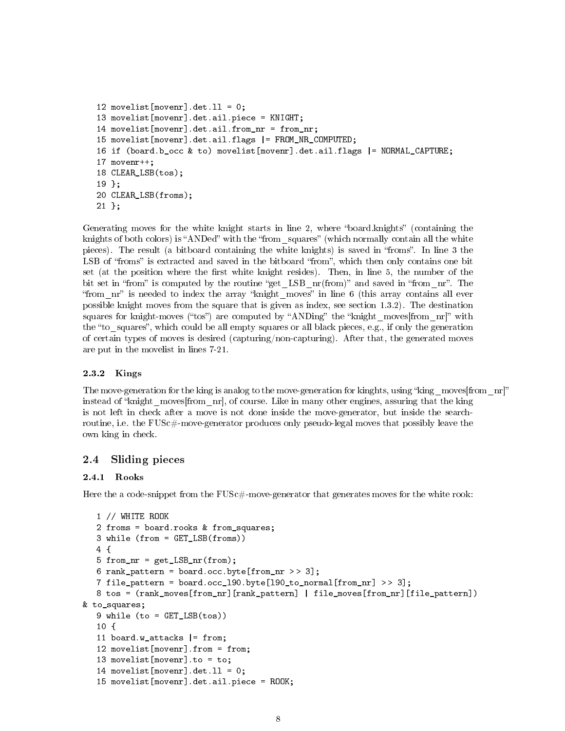```
12 movelist[movenr].det.ll = 0;
13 movelist[movenr].det.ail.piece = KNIGHT;
14 movelist[movenr].det.ail.from nr = from nr;
15 movelist[movenr].det.ail.flags |= FROM_NR_COMPUTED;
16 if (board.b_occ & to) movelist[movenr].det.ail.flags |= NORMAL_CAPTURE;
17 movenr++;
18 CLEAR_LSB(tos);
19 };
20 CLEAR_LSB(froms);
21 };
```
Generating moves for the white knight starts in line 2, where "board.knights" (containing the knights of both colors) is "ANDed" with the "from squares" (which normally contain all the white pieces). The result (a bitboard containing the white knights) is saved in "froms". In line 3 the LSB of "froms" is extracted and saved in the bitboard "from", which then only contains one bit set (at the position where the first white knight resides). Then, in line 5, the number of the bit set in "from" is computed by the routine "get LSB nr(from)" and saved in "from nr". The "from  $n^{\prime\prime}$  is needed to index the array "knight moves" in line 6 (this array contains all ever possible knight moves from the square that is given as index, see section 1.3.2). The destination squares for knight-moves ("tos") are computed by "ANDing" the "knight moves [from nr]" with the "to squares", which could be all empty squares or all black pieces, e.g., if only the generation of certain types of moves is desired (capturing/non-capturing). After that, the generated moves are put in the movelist in lines 7-21.

#### 2.3.2 Kings

The move-generation for the king is analog to the move-generation for kinghts, using "king moves [from nr]" instead of "knight moves<sup>[from nr]</sup>, of course. Like in many other engines, assuring that the king is not left in check after a move is not done inside the move-generator, but inside the searchroutine, i.e. the FUSc#-move-generator produces only pseudo-legal moves that possibly leave the own king in check.

### 2.4 Sliding pieces

#### 2.4.1 Rooks

Here the a code-snippet from the  $FUSE+$ -move-generator that generates moves for the white rook:

```
1 // WHITE ROOK
  2 froms = board.rooks & from_squares;
  3 while (from = GET_LSB(froms))
  4 {
  5 from_nr = get_LSB_nr(from);
  6 rank_pattern = board.occ.byte[from_nr >> 3];
  7 file_pattern = board.occ_190.byte[190_to_normal[from_nr] >> 3];
  8 tos = (rank_moves[from_nr][rank_pattern] | file_moves[from_nr][file_pattern])
& to_squares;
  9 while (to = GET LSB(tos))
  10 f11 board.w attacks |= from;
  12 movelist[movenr].from = from;
  13 movelist[movenr].to = to;
  14 movelist[movenr].det.ll = 0;
  15 movelist[movenr].det.ail.piece = ROOK;
```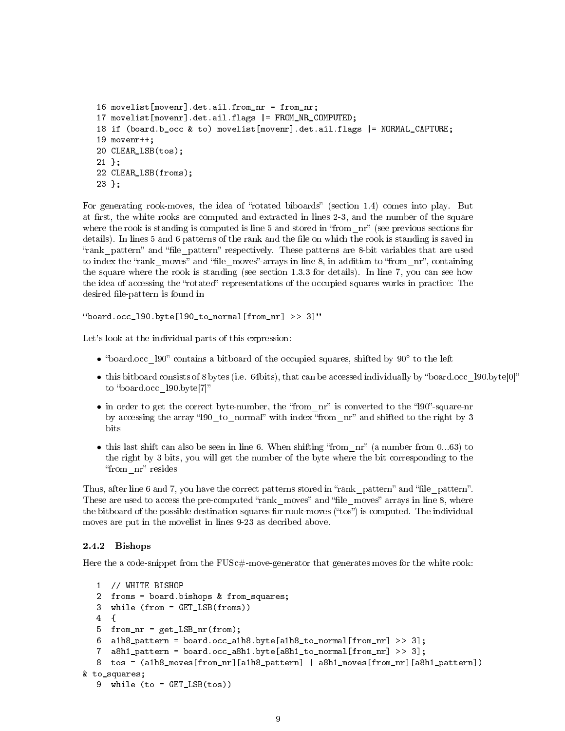```
16 movelist[movenr].det.ail.from_nr = from_nr;
17 movelist[movenr].det.ail.flags |= FROM_NR_COMPUTED;
18 if (board.b occ & to) movelist[movenr].det.ail.flags |= NORMAL CAPTURE;
19 movenr++;
20 CLEAR_LSB(tos);
21 };
22 CLEAR_LSB(froms);
23 };
```
For generating rook-moves, the idea of "rotated biboards" (section 1.4) comes into play. But at first, the white rooks are computed and extracted in lines 2-3, and the number of the square where the rook is standing is computed is line  $5$  and stored in "from  $n r$ " (see previous sections for details). In lines 5 and 6 patterns of the rank and the file on which the rook is standing is saved in "rank pattern" and "file pattern" respectively. These patterns are 8-bit variables that are used to index the "rank moves" and "file moves"-arrays in line 8, in addition to "from  $n^m$ , containing the square where the rook is standing (see section 1.3.3 for details). In line 7, you can see how the idea of accessing the "rotated" representations of the occupied squares works in practice: The desired file-pattern is found in

```
"board.occ 190.byte<sup>[190]</sup> to normal<sup>[from nr] >> 3]"</sup>
```
Let's look at the individual parts of this expression:

- "board.occ\_l90" contains a bitboard of the occupied squares, shifted by 90° to the left
- this bitboard consists of 8 bytes (i.e. 64bits), that can be accessed individually by "board.occ\_l90.byte[0]" to "board.occ l90.byte[7]"
- in order to get the correct byte-number, the "from  $n^r$ " is converted to the "l90"-square-nr by accessing the array "190 to normal" with index "from nr" and shifted to the right by 3 bits
- this last shift can also be seen in line 6. When shifting "from  $n r$ " (a number from 0...63) to the right by 3 bits, you will get the number of the byte where the bit corresponding to the "from nr" resides

Thus, after line 6 and 7, you have the correct patterns stored in "rank pattern" and "file pattern". These are used to access the pre-computed "rank moves" and "file moves" arrays in line 8, where the bitboard of the possible destination squares for rook-moves ("tos") is computed. The individual moves are put in the movelist in lines 9-23 as decribed above.

#### 2.4.2 Bishops

Here the a code-snippet from the  $FUSE#$ -move-generator that generates moves for the white rook:

```
1 // WHITE BISHOP
  2 froms = board.bishops & from_squares;
  3 while (from = GET_LSB(froms))
  4 {
  5 from_nr = get_LSB_nr(from);
  6 alh8_pattern = board.occ_alh8.byte[alh8_to_normal[from_nr] >> 3];
  7 a8h1_pattern = board.occ_a8h1.byte[a8h1_to_normal[from_nr] > > 3];
  8 tos = (a1h8 moves[from_nr][a1h8_pattern] | a8h1_moves[from_nr][a8h1_pattern])
& to_squares;
  9 while (to = GET_LSB(tos))
```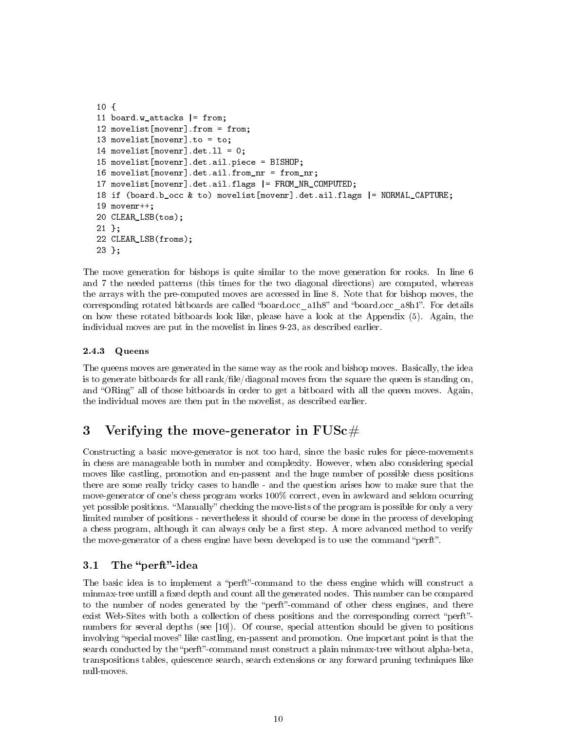```
10 {
11 board.w attacks |= from;
12 movelist[movenr].from = from;
13 movelist[movenr].to = to;
14 movelist[movenr].det.ll = 0;
15 movelist[movenr].det.ail.piece = BISHOP;
16 movelist[movenr].det.ail.from_nr = from_nr;
17 movelist[movenr].det.ail.flags |= FROM_NR_COMPUTED;
18 if (board.b_occ & to) movelist[movenr].det.ail.flags |= NORMAL_CAPTURE;
19 movenr++;
20 CLEAR_LSB(tos);
21 };
22 CLEAR_LSB(froms);
23 };
```
The move generation for bishops is quite similar to the move generation for rooks. In line 6 and 7 the needed patterns (this times for the two diagonal directions) are computed, whereas the arrays with the pre-computed moves are accessed in line 8. Note that for bishop moves, the corresponding rotated bitboards are called "board.occ\_a1h8" and "board.occ\_a8h1". For details on how these rotated bitboards look like, please have a look at the Appendix (5). Again, the individual moves are put in the movelist in lines 9-23, as described earlier.

### 2.4.3 Queens

The queens moves are generated in the same way as the rook and bishop moves. Basically, the idea is to generate bitboards for all  $rank/file/diagonal$  moves from the square the queen is standing on, and "ORing" all of those bitboards in order to get a bitboard with all the queen moves. Again, the individual moves are then put in the movelist, as described earlier.

# 3 Verifying the move-generator in  $FUSc \#$

Constructing a basic move-generator is not too hard, since the basic rules for piece-movements in chess are manageable both in number and complexity. However, when also considering special moves like castling, promotion and en-passent and the huge number of possible chess positions there are some really tricky cases to handle - and the question arises how to make sure that the move-generator of one's chess program works 100% correct, even in awkward and seldom ocurring yet possible positions. "Manually" checking the move-lists of the program is possible for only a very limited number of positions - nevertheless it should of course be done in the process of developing a chess program, although it can always only be a first step. A more advanced method to verify the move-generator of a chess engine have been developed is to use the command "perft".

### 3.1 The "perft"-idea

The basic idea is to implement a "perft"-command to the chess engine which will construct a minmax-tree untill a fixed depth and count all the generated nodes. This number can be compared to the number of nodes generated by the "perft"-command of other chess engines, and there exist Web-Sites with both a collection of chess positions and the corresponding correct "perft"numbers for several depths (see [10]). Of course, special attention should be given to positions involving "special moves" like castling, en-passent and promotion. One important point is that the search conducted by the "perft"-command must construct a plain minmax-tree without alpha-beta, transpositions tables, quiescence search, search extensions or any forward pruning techniques like null-moves.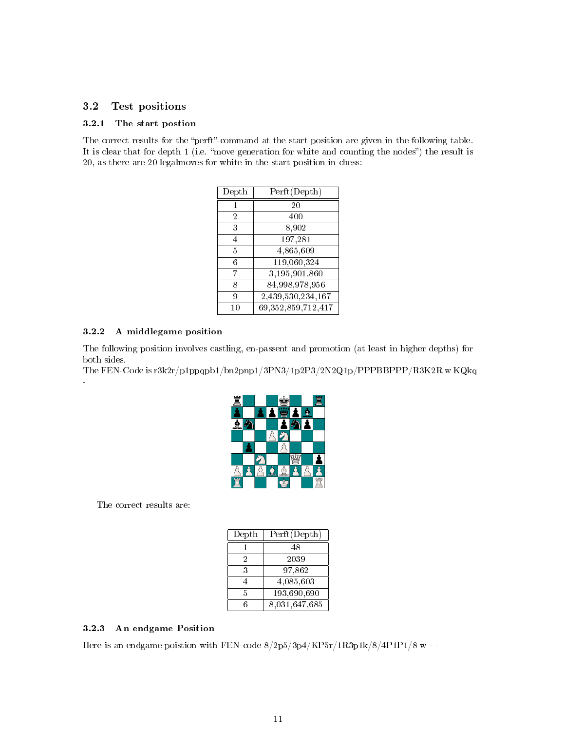### 3.2 Test positions

#### 3.2.1 The start postion

The correct results for the "perft"-command at the start position are given in the following table. It is clear that for depth 1 (i.e. "move generation for white and counting the nodes") the result is 20, as there are 20 legalmoves for white in the start position in chess:

| Depth          | Perft (Depth)          |
|----------------|------------------------|
| 1              | 20                     |
| $\overline{2}$ | 400                    |
| 3              | 8,902                  |
| 4              | 197,281                |
| 5              | 4,865,609              |
| 6              | 119,060,324            |
| 7              | 3,195,901,860          |
| 8              | 84,998,978,956         |
| 9              | 2,439,530,234,167      |
| 10             | 69, 352, 859, 712, 417 |

#### 3.2.2 A middlegame position

-

The following position involves castling, en-passent and promotion (at least in higher depths) for both sides.

The FEN-Code is r3k2r/p1ppqpb1/bn2pnp1/3PN3/1p2P3/2N2Q1p/PPPBBPPP/R3K2R w KQkq



The correct results are:

| Depth | Perft (Depth) |
|-------|---------------|
|       | 48            |
| 2     | 2039          |
| 3     | 97.862        |
| 4     | 4,085,603     |
| 5     | 193,690,690   |
| հ     | 8,031,647,685 |

#### 3.2.3 An endgame Position

Here is an endgame-poistion with FEN-code 8/2p5/3p4/KP5r/1R3p1k/8/4P1P1/8 w - -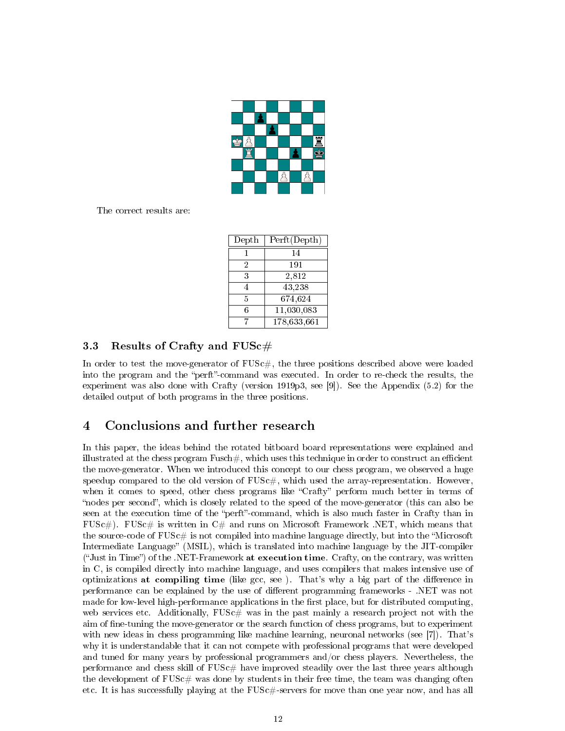

The correct results are:

| Depth | Perft (Depth) |
|-------|---------------|
|       | 14            |
| 2     | 191           |
| 3     | 2,812         |
| 4     | 43,238        |
| 5     | 674,624       |
| 6     | 11,030,083    |
|       | 178,633,661   |

### 3.3 Results of Crafty and  $FUSc\#$

In order to test the move-generator of  $FUSc\#$ , the three positions described above were loaded into the program and the "perft"-command was executed. In order to re-check the results, the experiment was also done with Crafty (version 1919p3, see [9]). See the Appendix (5.2) for the detailed output of both programs in the three positions.

# 4 Conclusions and further research

In this paper, the ideas behind the rotated bitboard board representations were explained and illustrated at the chess program  $F$ usch $\#$ , which uses this technique in order to construct an efficient the move-generator. When we introduced this concept to our chess program, we observed a huge speedup compared to the old version of  $FUSc\#$ , which used the array-representation. However, when it comes to speed, other chess programs like "Crafty" perform much better in terms of "nodes per second", which is closely related to the speed of the move-generator (this can also be seen at the execution time of the "perft"-command, which is also much faster in Crafty than in  $FUSc\#$ ). FUSc $\#$  is written in  $C\#$  and runs on Microsoft Framework .NET, which means that the source-code of  $FUSc \#$  is not compiled into machine language directly, but into the "Microsoft" Intermediate Language" (MSIL), which is translated into machine language by the JIT-compiler  $"Just in Time"$  of the .NET-Framework at execution time. Crafty, on the contrary, was written in C, is compiled directly into machine language, and uses compilers that makes intensive use of optimizations at compiling time (like gcc, see). That's why a big part of the difference in performance can be explained by the use of dierent programming frameworks - .NET was not made for low-level high-performance applications in the first place, but for distributed computing, web services etc. Additionally,  $FUSc\#$  was in the past mainly a research project not with the aim of fine-tuning the move-generator or the search function of chess programs, but to experiment with new ideas in chess programming like machine learning, neuronal networks (see [7]). That's why it is understandable that it can not compete with professional programs that were developed and tuned for many years by professional programmers and/or chess players. Nevertheless, the performance and chess skill of  $FUSc$  have improved steadily over the last three years although the development of  $FUSc\#$  was done by students in their free time, the team was changing often etc. It is has successfully playing at the FUSc#-servers for move than one year now, and has all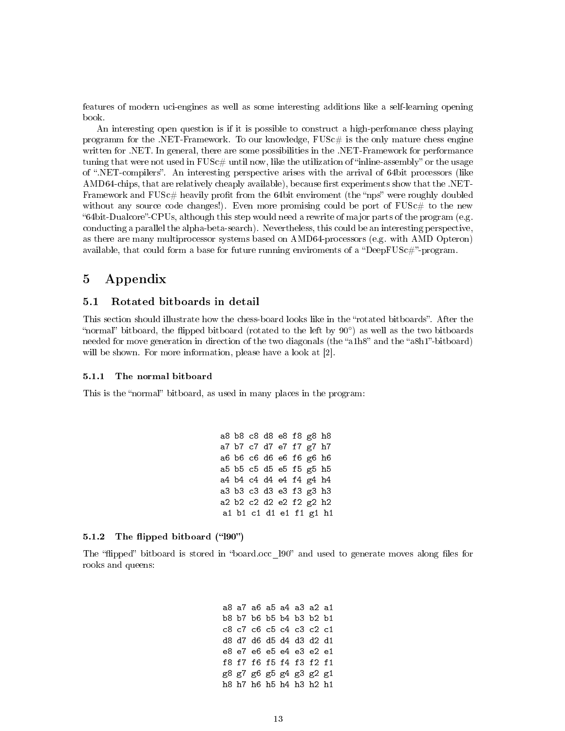features of modern uci-engines as well as some interesting additions like a self-learning opening book.

An interesting open question is if it is possible to construct a high-perfomance chess playing programm for the .NET-Framework. To our knowledge,  $FUSE\#$  is the only mature chess engine written for .NET. In general, there are some possibilities in the .NET-Framework for performance tuning that were not used in  $FUSc\#$  until now, like the utilization of "inline-assembly" or the usage of .NET-compilers. An interesting perspective arises with the arrival of 64bit processors (like  $\rm AMD64\text{-}chips, that are relatively cheaply available, because first experiments show that the .NET-$ Framework and  $FUSc\#$  heavily profit from the 64bit enviroment (the "nps" were roughly doubled without any source code changes!). Even more promising could be port of  $FUSc#$  to the new "64bit-Dualcore"-CPUs, although this step would need a rewrite of major parts of the program (e.g. conducting a parallel the alpha-beta-search). Nevertheless, this could be an interesting perspective, as there are many multiprocessor systems based on AMD64-processors (e.g. with AMD Opteron) available, that could form a base for future running enviroments of a "DeepFUSc#"-program.

## 5 Appendix

#### 5.1 Rotated bitboards in detail

This section should illustrate how the chess-board looks like in the "rotated bitboards". After the "normal" bitboard, the flipped bitboard (rotated to the left by  $90°$ ) as well as the two bitboards needed for move generation in direction of the two diagonals (the "a1h8" and the "a8h1"-bitboard) will be shown. For more information, please have a look at [2].

#### 5.1.1 The normal bitboard

This is the "normal" bitboard, as used in many places in the program:

a8 b8 c8 d8 e8 f8 g8 h8 a7 b7 c7 d7 e7 f7 g7 h7 a6 b6 c6 d6 e6 f6 g6 h6 a5 b5 c5 d5 e5 f5 g5 h5 a4 b4 c4 d4 e4 f4 g4 h4 a3 b3 c3 d3 e3 f3 g3 h3 a2 b2 c2 d2 e2 f2 g2 h2 a1 b1 c1 d1 e1 f1 g1 h1

#### $5.1.2$  The flipped bitboard ("190")

The "flipped" bitboard is stored in "board.occ 190" and used to generate moves along files for rooks and queens:

> a8 a7 a6 a5 a4 a3 a2 a1 b8 b7 b6 b5 b4 b3 b2 b1 c8 c7 c6 c5 c4 c3 c2 c1 d8 d7 d6 d5 d4 d3 d2 d1 e8 e7 e6 e5 e4 e3 e2 e1 f8 f7 f6 f5 f4 f3 f2 f1 g8 g7 g6 g5 g4 g3 g2 g1 h8 h7 h6 h5 h4 h3 h2 h1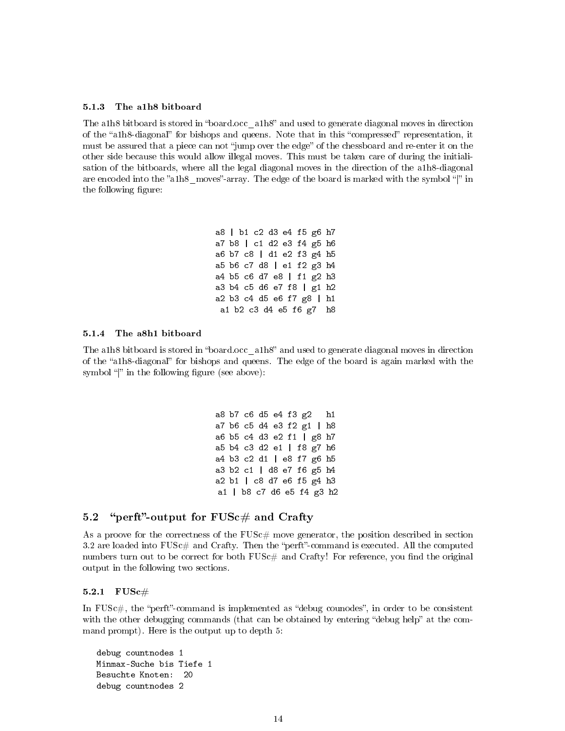#### 5.1.3 The a1h8 bitboard

The alboard is stored in "board.occ\_alboard" and used to generate diagonal moves in direction of the "a1h8-diagonal" for bishops and queens. Note that in this "compressed" representation, it must be assured that a piece can not "jump over the edge" of the chessboard and re-enter it on the other side because this would allow illegal moves. This must be taken care of during the initialisation of the bitboards, where all the legal diagonal moves in the direction of the a1h8-diagonal are encoded into the "a1h8\_moves"-array. The edge of the board is marked with the symbol "|" in the following figure:

> a8 | b1 c2 d3 e4 f5 g6 h7 a7 b8 | c1 d2 e3 f4 g5 h6 a6 b7 c8 | d1 e2 f3 g4 h5 a5 b6 c7 d8 | e1 f2 g3 h4 a4 b5 c6 d7 e8 | f1 g2 h3 a3 b4 c5 d6 e7 f8 | g1 h2 a2 b3 c4 d5 e6 f7 g8 | h1 a1 b2 c3 d4 e5 f6 g7 h8

#### 5.1.4 The a8h1 bitboard

The a1h8 bitboard is stored in "board.occ\_a1h8" and used to generate diagonal moves in direction of the "a1h8-diagonal" for bishops and queens. The edge of the board is again marked with the symbol " $\mathbf{v}$ " in the following figure (see above):

> a8 b7 c6 d5 e4 f3 g2 h1 a7 b6 c5 d4 e3 f2 g1 | h8 a6 b5 c4 d3 e2 f1 | g8 h7 a5 b4 c3 d2 e1 | f8 g7 h6 a4 b3 c2 d1 | e8 f7 g6 h5 a3 b2 c1 | d8 e7 f6 g5 h4 a2 b1 | c8 d7 e6 f5 g4 h3 a1 | b8 c7 d6 e5 f4 g3 h2

### 5.2 "perft"-output for  $FUSc\#$  and Crafty

As a proove for the correctness of the  $FUSc#$  move generator, the position described in section 3.2 are loaded into  $FUSc \#$  and Crafty. Then the "perft"-command is executed. All the computed numbers turn out to be correct for both  $FUSc#$  and Crafty! For reference, you find the original output in the following two sections.

#### $5.2.1$   $FUSc#$

In FUSc $\#$ , the "perft"-command is implemented as "debug counodes", in order to be consistent with the other debugging commands (that can be obtained by entering "debug help" at the command prompt). Here is the output up to depth 5:

```
debug countnodes 1
Minmax-Suche bis Tiefe 1
Besuchte Knoten: 20
debug countnodes 2
```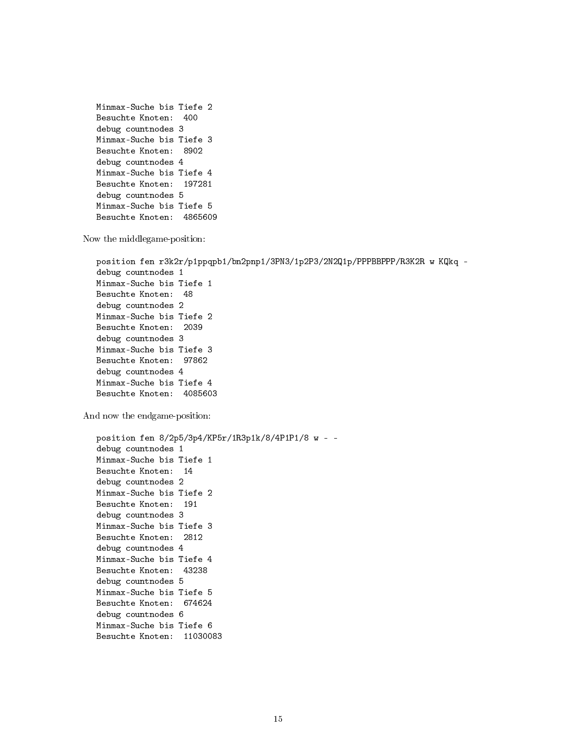```
Minmax-Suche bis Tiefe 2
Besuchte Knoten: 400
debug countnodes 3
Minmax-Suche bis Tiefe 3
Besuchte Knoten: 8902
debug countnodes 4
Minmax-Suche bis Tiefe 4
Besuchte Knoten: 197281
debug countnodes 5
Minmax-Suche bis Tiefe 5
Besuchte Knoten: 4865609
```
Now the middlegame-position:

```
position fen r3k2r/p1ppqpb1/bn2pnp1/3PN3/1p2P3/2N2Q1p/PPPBBPPP/R3K2R w KQkq -
debug countnodes 1
Minmax-Suche bis Tiefe 1
Besuchte Knoten: 48
debug countnodes 2
Minmax-Suche bis Tiefe 2
Besuchte Knoten: 2039
debug countnodes 3
Minmax-Suche bis Tiefe 3
Besuchte Knoten: 97862
debug countnodes 4
Minmax-Suche bis Tiefe 4
Besuchte Knoten: 4085603
```
And now the endgame-position:

```
position fen 8/2p5/3p4/KP5r/1R3p1k/8/4P1P1/8 w - -
debug countnodes 1
Minmax-Suche bis Tiefe 1
Besuchte Knoten: 14
debug countnodes 2
Minmax-Suche bis Tiefe 2
Besuchte Knoten: 191
debug countnodes 3
Minmax-Suche bis Tiefe 3
Besuchte Knoten: 2812
debug countnodes 4
Minmax-Suche bis Tiefe 4
Besuchte Knoten: 43238
debug countnodes 5
Minmax-Suche bis Tiefe 5
Besuchte Knoten: 674624
debug countnodes 6
Minmax-Suche bis Tiefe 6
Besuchte Knoten: 11030083
```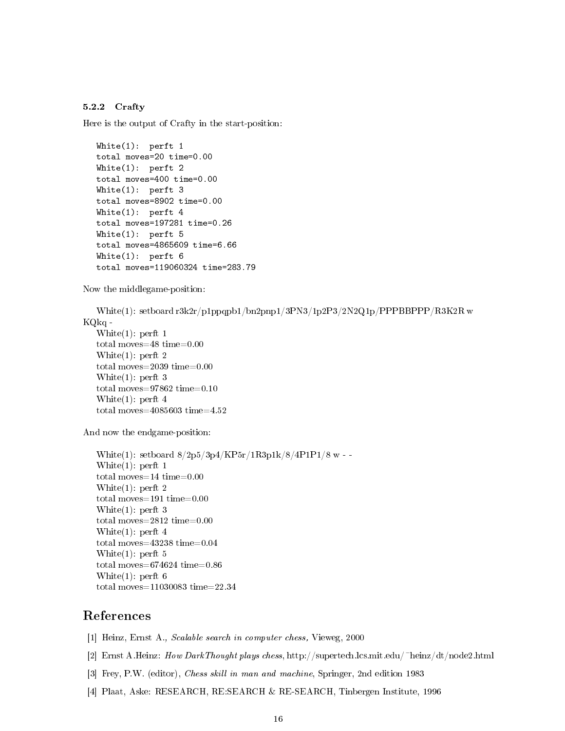#### 5.2.2 Crafty

Here is the output of Crafty in the start-position:

```
White(1): perft 1
total moves=20 time=0.00
White(1): perft 2
total moves=400 time=0.00
White(1): perft 3
total moves=8902 time=0.00
White(1): perft 4
total moves=197281 time=0.26
White(1): perft 5
total moves=4865609 time=6.66
White(1): perft 6
total moves=119060324 time=283.79
```
Now the middlegame-position:

White(1): setboard r3k2r/p1ppqpb1/bn2pnp1/3PN3/1p2P3/2N2Q1p/PPPBBPPP/R3K2R w KQkq -

```
White(1): perft 1
total moves=48 time=0.00
White(1): perft 2
total moves=2039 time=0.00
White(1): perft 3
total moves=97862 time=0.10
White(1): perft 4
total moves=4085603 time=4.52
```
And now the endgame-position:

White(1): setboard  $8/2p5/3p4/KP5r/1R3p1k/8/4P1P1/8$  w --White(1): perft 1 total moves=14 time=0.00 White(1): perft 2 total moves=191 time=0.00 White(1): perft 3 total moves=2812 time=0.00 White(1): perft 4 total moves=43238 time=0.04 White(1): perft 5 total moves=674624 time=0.86 White(1): perft 6 total moves=11030083 time=22.34

# References

- [1] Heinz, Ernst A., Scalable search in computer chess, Vieweg, 2000
- [2] Ernst A.Heinz: How DarkThought plays chess, http://supertech.lcs.mit.edu/~heinz/dt/node2.html
- [3] Frey, P.W. (editor), Chess skill in man and machine, Springer, 2nd edition 1983
- [4] Plaat, Aske: RESEARCH, RE:SEARCH & RE-SEARCH, Tinbergen Institute, 1996